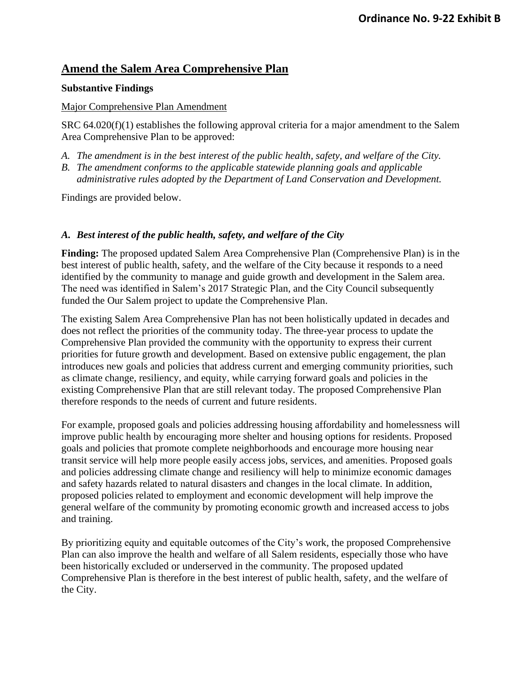# **Amend the Salem Area Comprehensive Plan**

### **Substantive Findings**

#### Major Comprehensive Plan Amendment

SRC 64.020(f)(1) establishes the following approval criteria for a major amendment to the Salem Area Comprehensive Plan to be approved:

- *A. The amendment is in the best interest of the public health, safety, and welfare of the City.*
- *B. The amendment conforms to the applicable statewide planning goals and applicable administrative rules adopted by the Department of Land Conservation and Development.*

Findings are provided below.

## *A. Best interest of the public health, safety, and welfare of the City*

**Finding:** The proposed updated Salem Area Comprehensive Plan (Comprehensive Plan) is in the best interest of public health, safety, and the welfare of the City because it responds to a need identified by the community to manage and guide growth and development in the Salem area. The need was identified in Salem's 2017 Strategic Plan, and the City Council subsequently funded the Our Salem project to update the Comprehensive Plan.

The existing Salem Area Comprehensive Plan has not been holistically updated in decades and does not reflect the priorities of the community today. The three-year process to update the Comprehensive Plan provided the community with the opportunity to express their current priorities for future growth and development. Based on extensive public engagement, the plan introduces new goals and policies that address current and emerging community priorities, such as climate change, resiliency, and equity, while carrying forward goals and policies in the existing Comprehensive Plan that are still relevant today. The proposed Comprehensive Plan therefore responds to the needs of current and future residents.

For example, proposed goals and policies addressing housing affordability and homelessness will improve public health by encouraging more shelter and housing options for residents. Proposed goals and policies that promote complete neighborhoods and encourage more housing near transit service will help more people easily access jobs, services, and amenities. Proposed goals and policies addressing climate change and resiliency will help to minimize economic damages and safety hazards related to natural disasters and changes in the local climate. In addition, proposed policies related to employment and economic development will help improve the general welfare of the community by promoting economic growth and increased access to jobs and training.

By prioritizing equity and equitable outcomes of the City's work, the proposed Comprehensive Plan can also improve the health and welfare of all Salem residents, especially those who have been historically excluded or underserved in the community. The proposed updated Comprehensive Plan is therefore in the best interest of public health, safety, and the welfare of the City.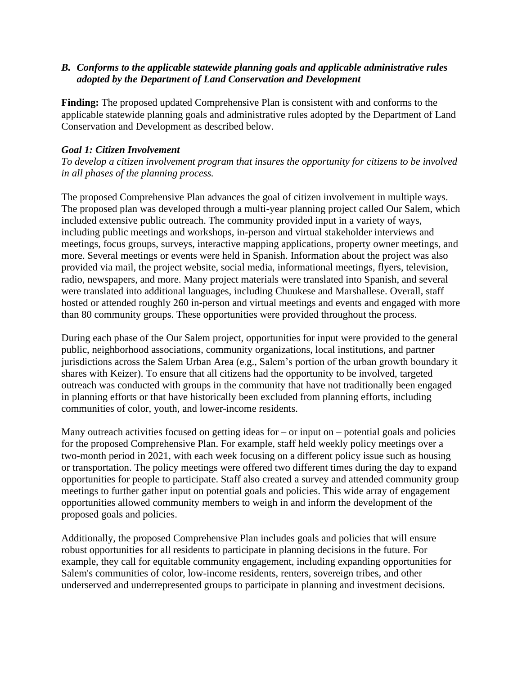## *B. Conforms to the applicable statewide planning goals and applicable administrative rules adopted by the Department of Land Conservation and Development*

**Finding:** The proposed updated Comprehensive Plan is consistent with and conforms to the applicable statewide planning goals and administrative rules adopted by the Department of Land Conservation and Development as described below.

## *Goal 1: Citizen Involvement*

*To develop a citizen involvement program that insures the opportunity for citizens to be involved in all phases of the planning process.*

The proposed Comprehensive Plan advances the goal of citizen involvement in multiple ways. The proposed plan was developed through a multi-year planning project called Our Salem, which included extensive public outreach. The community provided input in a variety of ways, including public meetings and workshops, in-person and virtual stakeholder interviews and meetings, focus groups, surveys, interactive mapping applications, property owner meetings, and more. Several meetings or events were held in Spanish. Information about the project was also provided via mail, the project website, social media, informational meetings, flyers, television, radio, newspapers, and more. Many project materials were translated into Spanish, and several were translated into additional languages, including Chuukese and Marshallese. Overall, staff hosted or attended roughly 260 in-person and virtual meetings and events and engaged with more than 80 community groups. These opportunities were provided throughout the process.

During each phase of the Our Salem project, opportunities for input were provided to the general public, neighborhood associations, community organizations, local institutions, and partner jurisdictions across the Salem Urban Area (e.g., Salem's portion of the urban growth boundary it shares with Keizer). To ensure that all citizens had the opportunity to be involved, targeted outreach was conducted with groups in the community that have not traditionally been engaged in planning efforts or that have historically been excluded from planning efforts, including communities of color, youth, and lower-income residents.

Many outreach activities focused on getting ideas for  $-$  or input on  $-$  potential goals and policies for the proposed Comprehensive Plan. For example, staff held weekly policy meetings over a two-month period in 2021, with each week focusing on a different policy issue such as housing or transportation. The policy meetings were offered two different times during the day to expand opportunities for people to participate. Staff also created a survey and attended community group meetings to further gather input on potential goals and policies. This wide array of engagement opportunities allowed community members to weigh in and inform the development of the proposed goals and policies.

Additionally, the proposed Comprehensive Plan includes goals and policies that will ensure robust opportunities for all residents to participate in planning decisions in the future. For example, they call for equitable community engagement, including expanding opportunities for Salem's communities of color, low-income residents, renters, sovereign tribes, and other underserved and underrepresented groups to participate in planning and investment decisions.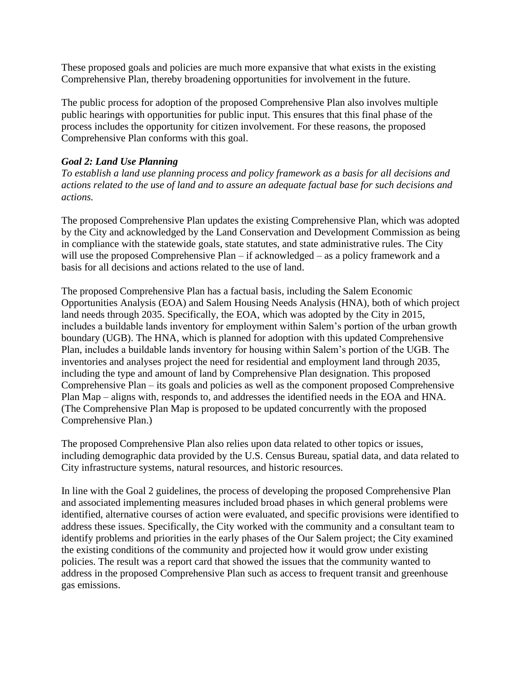These proposed goals and policies are much more expansive that what exists in the existing Comprehensive Plan, thereby broadening opportunities for involvement in the future.

The public process for adoption of the proposed Comprehensive Plan also involves multiple public hearings with opportunities for public input. This ensures that this final phase of the process includes the opportunity for citizen involvement. For these reasons, the proposed Comprehensive Plan conforms with this goal.

## *Goal 2: Land Use Planning*

*To establish a land use planning process and policy framework as a basis for all decisions and actions related to the use of land and to assure an adequate factual base for such decisions and actions.*

The proposed Comprehensive Plan updates the existing Comprehensive Plan, which was adopted by the City and acknowledged by the Land Conservation and Development Commission as being in compliance with the statewide goals, state statutes, and state administrative rules. The City will use the proposed Comprehensive Plan – if acknowledged – as a policy framework and a basis for all decisions and actions related to the use of land.

The proposed Comprehensive Plan has a factual basis, including the Salem Economic Opportunities Analysis (EOA) and Salem Housing Needs Analysis (HNA), both of which project land needs through 2035. Specifically, the EOA, which was adopted by the City in 2015, includes a buildable lands inventory for employment within Salem's portion of the urban growth boundary (UGB). The HNA, which is planned for adoption with this updated Comprehensive Plan, includes a buildable lands inventory for housing within Salem's portion of the UGB. The inventories and analyses project the need for residential and employment land through 2035, including the type and amount of land by Comprehensive Plan designation. This proposed Comprehensive Plan – its goals and policies as well as the component proposed Comprehensive Plan Map – aligns with, responds to, and addresses the identified needs in the EOA and HNA. (The Comprehensive Plan Map is proposed to be updated concurrently with the proposed Comprehensive Plan.)

The proposed Comprehensive Plan also relies upon data related to other topics or issues, including demographic data provided by the U.S. Census Bureau, spatial data, and data related to City infrastructure systems, natural resources, and historic resources.

In line with the Goal 2 guidelines, the process of developing the proposed Comprehensive Plan and associated implementing measures included broad phases in which general problems were identified, alternative courses of action were evaluated, and specific provisions were identified to address these issues. Specifically, the City worked with the community and a consultant team to identify problems and priorities in the early phases of the Our Salem project; the City examined the existing conditions of the community and projected how it would grow under existing policies. The result was a report card that showed the issues that the community wanted to address in the proposed Comprehensive Plan such as access to frequent transit and greenhouse gas emissions.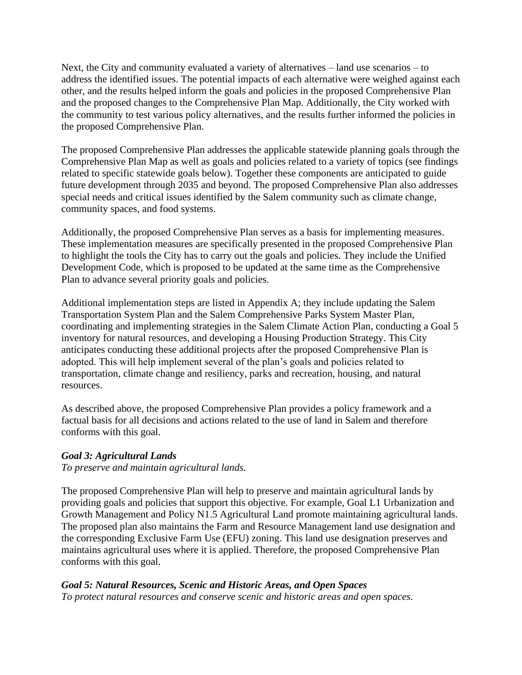Next, the City and community evaluated a variety of alternatives – land use scenarios – to address the identified issues. The potential impacts of each alternative were weighed against each other, and the results helped inform the goals and policies in the proposed Comprehensive Plan and the proposed changes to the Comprehensive Plan Map. Additionally, the City worked with the community to test various policy alternatives, and the results further informed the policies in the proposed Comprehensive Plan.

The proposed Comprehensive Plan addresses the applicable statewide planning goals through the Comprehensive Plan Map as well as goals and policies related to a variety of topics (see findings related to specific statewide goals below). Together these components are anticipated to guide future development through 2035 and beyond. The proposed Comprehensive Plan also addresses special needs and critical issues identified by the Salem community such as climate change, community spaces, and food systems.

Additionally, the proposed Comprehensive Plan serves as a basis for implementing measures. These implementation measures are specifically presented in the proposed Comprehensive Plan to highlight the tools the City has to carry out the goals and policies. They include the Unified Development Code, which is proposed to be updated at the same time as the Comprehensive Plan to advance several priority goals and policies.

Additional implementation steps are listed in Appendix A; they include updating the Salem Transportation System Plan and the Salem Comprehensive Parks System Master Plan, coordinating and implementing strategies in the Salem Climate Action Plan, conducting a Goal 5 inventory for natural resources, and developing a Housing Production Strategy. This City anticipates conducting these additional projects after the proposed Comprehensive Plan is adopted. This will help implement several of the plan's goals and policies related to transportation, climate change and resiliency, parks and recreation, housing, and natural resources.

As described above, the proposed Comprehensive Plan provides a policy framework and a factual basis for all decisions and actions related to the use of land in Salem and therefore conforms with this goal.

# *Goal 3: Agricultural Lands*

*To preserve and maintain agricultural lands.*

The proposed Comprehensive Plan will help to preserve and maintain agricultural lands by providing goals and policies that support this objective. For example, Goal L1 Urbanization and Growth Management and Policy N1.5 Agricultural Land promote maintaining agricultural lands. The proposed plan also maintains the Farm and Resource Management land use designation and the corresponding Exclusive Farm Use (EFU) zoning. This land use designation preserves and maintains agricultural uses where it is applied. Therefore, the proposed Comprehensive Plan conforms with this goal.

# *Goal 5: Natural Resources, Scenic and Historic Areas, and Open Spaces*

*To protect natural resources and conserve scenic and historic areas and open spaces.*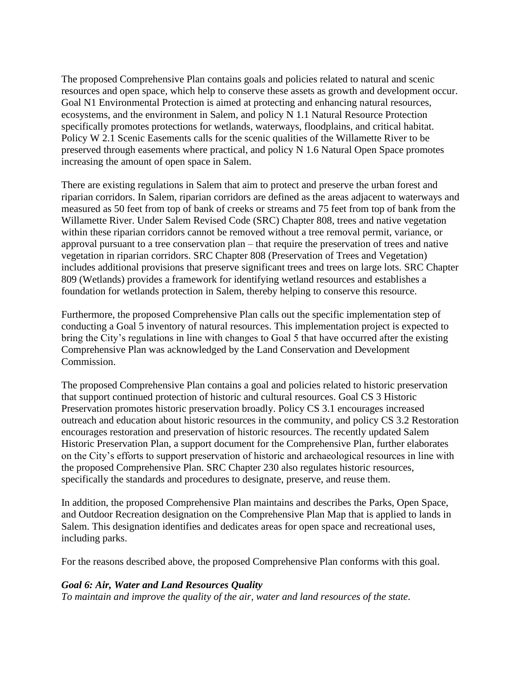The proposed Comprehensive Plan contains goals and policies related to natural and scenic resources and open space, which help to conserve these assets as growth and development occur. Goal N1 Environmental Protection is aimed at protecting and enhancing natural resources, ecosystems, and the environment in Salem, and policy N 1.1 Natural Resource Protection specifically promotes protections for wetlands, waterways, floodplains, and critical habitat. Policy W 2.1 Scenic Easements calls for the scenic qualities of the Willamette River to be preserved through easements where practical, and policy N 1.6 Natural Open Space promotes increasing the amount of open space in Salem.

There are existing regulations in Salem that aim to protect and preserve the urban forest and riparian corridors. In Salem, riparian corridors are defined as the areas adjacent to waterways and measured as 50 feet from top of bank of creeks or streams and 75 feet from top of bank from the Willamette River. Under Salem Revised Code (SRC) Chapter 808, trees and native vegetation within these riparian corridors cannot be removed without a tree removal permit, variance, or approval pursuant to a tree conservation plan – that require the preservation of trees and native vegetation in riparian corridors. SRC Chapter 808 (Preservation of Trees and Vegetation) includes additional provisions that preserve significant trees and trees on large lots. SRC Chapter 809 (Wetlands) provides a framework for identifying wetland resources and establishes a foundation for wetlands protection in Salem, thereby helping to conserve this resource.

Furthermore, the proposed Comprehensive Plan calls out the specific implementation step of conducting a Goal 5 inventory of natural resources. This implementation project is expected to bring the City's regulations in line with changes to Goal 5 that have occurred after the existing Comprehensive Plan was acknowledged by the Land Conservation and Development Commission.

The proposed Comprehensive Plan contains a goal and policies related to historic preservation that support continued protection of historic and cultural resources. Goal CS 3 Historic Preservation promotes historic preservation broadly. Policy CS 3.1 encourages increased outreach and education about historic resources in the community, and policy CS 3.2 Restoration encourages restoration and preservation of historic resources. The recently updated Salem Historic Preservation Plan, a support document for the Comprehensive Plan, further elaborates on the City's efforts to support preservation of historic and archaeological resources in line with the proposed Comprehensive Plan. SRC Chapter 230 also regulates historic resources, specifically the standards and procedures to designate, preserve, and reuse them.

In addition, the proposed Comprehensive Plan maintains and describes the Parks, Open Space, and Outdoor Recreation designation on the Comprehensive Plan Map that is applied to lands in Salem. This designation identifies and dedicates areas for open space and recreational uses, including parks.

For the reasons described above, the proposed Comprehensive Plan conforms with this goal.

#### *Goal 6: Air, Water and Land Resources Quality*

*To maintain and improve the quality of the air, water and land resources of the state.*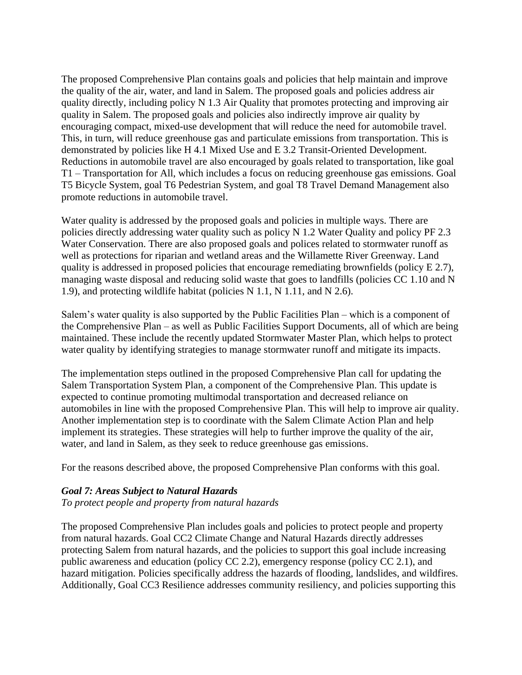The proposed Comprehensive Plan contains goals and policies that help maintain and improve the quality of the air, water, and land in Salem. The proposed goals and policies address air quality directly, including policy N 1.3 Air Quality that promotes protecting and improving air quality in Salem. The proposed goals and policies also indirectly improve air quality by encouraging compact, mixed-use development that will reduce the need for automobile travel. This, in turn, will reduce greenhouse gas and particulate emissions from transportation. This is demonstrated by policies like H 4.1 Mixed Use and E 3.2 Transit-Oriented Development. Reductions in automobile travel are also encouraged by goals related to transportation, like goal T1 – Transportation for All, which includes a focus on reducing greenhouse gas emissions. Goal T5 Bicycle System, goal T6 Pedestrian System, and goal T8 Travel Demand Management also promote reductions in automobile travel.

Water quality is addressed by the proposed goals and policies in multiple ways. There are policies directly addressing water quality such as policy N 1.2 Water Quality and policy PF 2.3 Water Conservation. There are also proposed goals and polices related to stormwater runoff as well as protections for riparian and wetland areas and the Willamette River Greenway. Land quality is addressed in proposed policies that encourage remediating brownfields (policy E 2.7), managing waste disposal and reducing solid waste that goes to landfills (policies CC 1.10 and N 1.9), and protecting wildlife habitat (policies N 1.1, N 1.11, and N 2.6).

Salem's water quality is also supported by the Public Facilities Plan – which is a component of the Comprehensive Plan – as well as Public Facilities Support Documents, all of which are being maintained. These include the recently updated Stormwater Master Plan, which helps to protect water quality by identifying strategies to manage stormwater runoff and mitigate its impacts.

The implementation steps outlined in the proposed Comprehensive Plan call for updating the Salem Transportation System Plan, a component of the Comprehensive Plan. This update is expected to continue promoting multimodal transportation and decreased reliance on automobiles in line with the proposed Comprehensive Plan. This will help to improve air quality. Another implementation step is to coordinate with the Salem Climate Action Plan and help implement its strategies. These strategies will help to further improve the quality of the air, water, and land in Salem, as they seek to reduce greenhouse gas emissions.

For the reasons described above, the proposed Comprehensive Plan conforms with this goal.

#### *Goal 7: Areas Subject to Natural Hazards*

*To protect people and property from natural hazards*

The proposed Comprehensive Plan includes goals and policies to protect people and property from natural hazards. Goal CC2 Climate Change and Natural Hazards directly addresses protecting Salem from natural hazards, and the policies to support this goal include increasing public awareness and education (policy CC 2.2), emergency response (policy CC 2.1), and hazard mitigation. Policies specifically address the hazards of flooding, landslides, and wildfires. Additionally, Goal CC3 Resilience addresses community resiliency, and policies supporting this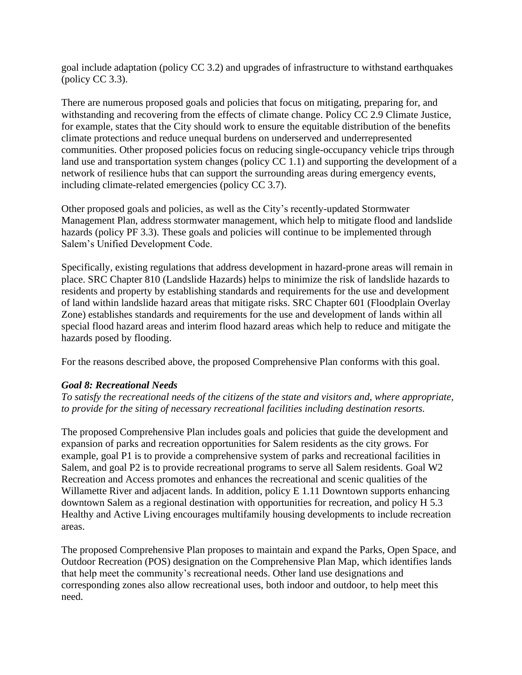goal include adaptation (policy CC 3.2) and upgrades of infrastructure to withstand earthquakes (policy CC 3.3).

There are numerous proposed goals and policies that focus on mitigating, preparing for, and withstanding and recovering from the effects of climate change. Policy CC 2.9 Climate Justice, for example, states that the City should work to ensure the equitable distribution of the benefits climate protections and reduce unequal burdens on underserved and underrepresented communities. Other proposed policies focus on reducing single-occupancy vehicle trips through land use and transportation system changes (policy CC 1.1) and supporting the development of a network of resilience hubs that can support the surrounding areas during emergency events, including climate-related emergencies (policy CC 3.7).

Other proposed goals and policies, as well as the City's recently-updated Stormwater Management Plan, address stormwater management, which help to mitigate flood and landslide hazards (policy PF 3.3). These goals and policies will continue to be implemented through Salem's Unified Development Code.

Specifically, existing regulations that address development in hazard-prone areas will remain in place. SRC Chapter 810 (Landslide Hazards) helps to minimize the risk of landslide hazards to residents and property by establishing standards and requirements for the use and development of land within landslide hazard areas that mitigate risks. SRC Chapter 601 (Floodplain Overlay Zone) establishes standards and requirements for the use and development of lands within all special flood hazard areas and interim flood hazard areas which help to reduce and mitigate the hazards posed by flooding.

For the reasons described above, the proposed Comprehensive Plan conforms with this goal.

# *Goal 8: Recreational Needs*

*To satisfy the recreational needs of the citizens of the state and visitors and, where appropriate, to provide for the siting of necessary recreational facilities including destination resorts.*

The proposed Comprehensive Plan includes goals and policies that guide the development and expansion of parks and recreation opportunities for Salem residents as the city grows. For example, goal P1 is to provide a comprehensive system of parks and recreational facilities in Salem, and goal P2 is to provide recreational programs to serve all Salem residents. Goal W2 Recreation and Access promotes and enhances the recreational and scenic qualities of the Willamette River and adjacent lands. In addition, policy E 1.11 Downtown supports enhancing downtown Salem as a regional destination with opportunities for recreation, and policy H 5.3 Healthy and Active Living encourages multifamily housing developments to include recreation areas.

The proposed Comprehensive Plan proposes to maintain and expand the Parks, Open Space, and Outdoor Recreation (POS) designation on the Comprehensive Plan Map, which identifies lands that help meet the community's recreational needs. Other land use designations and corresponding zones also allow recreational uses, both indoor and outdoor, to help meet this need.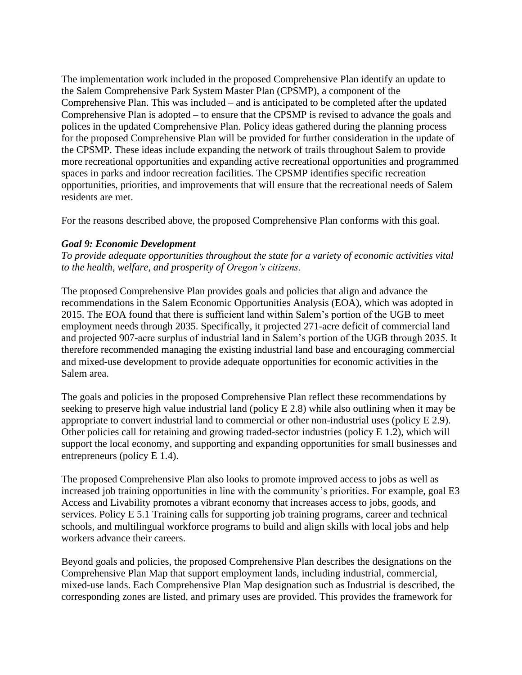The implementation work included in the proposed Comprehensive Plan identify an update to the Salem Comprehensive Park System Master Plan (CPSMP), a component of the Comprehensive Plan. This was included – and is anticipated to be completed after the updated Comprehensive Plan is adopted – to ensure that the CPSMP is revised to advance the goals and polices in the updated Comprehensive Plan. Policy ideas gathered during the planning process for the proposed Comprehensive Plan will be provided for further consideration in the update of the CPSMP. These ideas include expanding the network of trails throughout Salem to provide more recreational opportunities and expanding active recreational opportunities and programmed spaces in parks and indoor recreation facilities. The CPSMP identifies specific recreation opportunities, priorities, and improvements that will ensure that the recreational needs of Salem residents are met.

For the reasons described above, the proposed Comprehensive Plan conforms with this goal.

## *Goal 9: Economic Development*

*To provide adequate opportunities throughout the state for a variety of economic activities vital to the health, welfare, and prosperity of Oregon's citizens.*

The proposed Comprehensive Plan provides goals and policies that align and advance the recommendations in the Salem Economic Opportunities Analysis (EOA), which was adopted in 2015. The EOA found that there is sufficient land within Salem's portion of the UGB to meet employment needs through 2035. Specifically, it projected 271-acre deficit of commercial land and projected 907-acre surplus of industrial land in Salem's portion of the UGB through 2035. It therefore recommended managing the existing industrial land base and encouraging commercial and mixed-use development to provide adequate opportunities for economic activities in the Salem area.

The goals and policies in the proposed Comprehensive Plan reflect these recommendations by seeking to preserve high value industrial land (policy E 2.8) while also outlining when it may be appropriate to convert industrial land to commercial or other non-industrial uses (policy E 2.9). Other policies call for retaining and growing traded-sector industries (policy E 1.2), which will support the local economy, and supporting and expanding opportunities for small businesses and entrepreneurs (policy E 1.4).

The proposed Comprehensive Plan also looks to promote improved access to jobs as well as increased job training opportunities in line with the community's priorities. For example, goal E3 Access and Livability promotes a vibrant economy that increases access to jobs, goods, and services. Policy E 5.1 Training calls for supporting job training programs, career and technical schools, and multilingual workforce programs to build and align skills with local jobs and help workers advance their careers.

Beyond goals and policies, the proposed Comprehensive Plan describes the designations on the Comprehensive Plan Map that support employment lands, including industrial, commercial, mixed-use lands. Each Comprehensive Plan Map designation such as Industrial is described, the corresponding zones are listed, and primary uses are provided. This provides the framework for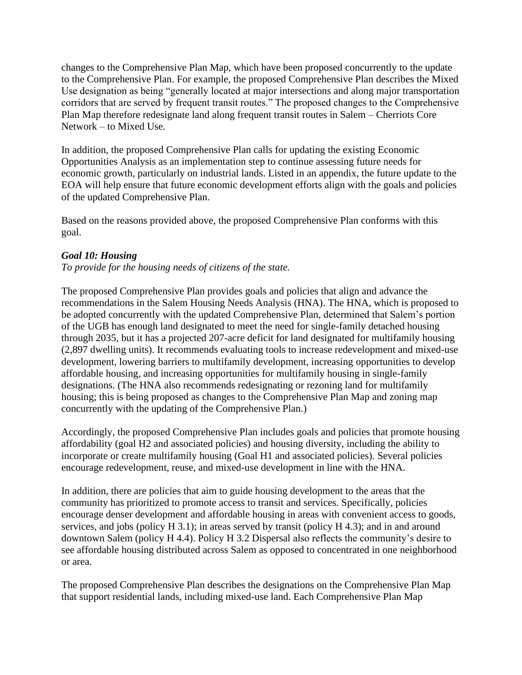changes to the Comprehensive Plan Map, which have been proposed concurrently to the update to the Comprehensive Plan. For example, the proposed Comprehensive Plan describes the Mixed Use designation as being "generally located at major intersections and along major transportation corridors that are served by frequent transit routes." The proposed changes to the Comprehensive Plan Map therefore redesignate land along frequent transit routes in Salem – Cherriots Core Network – to Mixed Use.

In addition, the proposed Comprehensive Plan calls for updating the existing Economic Opportunities Analysis as an implementation step to continue assessing future needs for economic growth, particularly on industrial lands. Listed in an appendix, the future update to the EOA will help ensure that future economic development efforts align with the goals and policies of the updated Comprehensive Plan.

Based on the reasons provided above, the proposed Comprehensive Plan conforms with this goal.

# *Goal 10: Housing*

*To provide for the housing needs of citizens of the state.*

The proposed Comprehensive Plan provides goals and policies that align and advance the recommendations in the Salem Housing Needs Analysis (HNA). The HNA, which is proposed to be adopted concurrently with the updated Comprehensive Plan, determined that Salem's portion of the UGB has enough land designated to meet the need for single-family detached housing through 2035, but it has a projected 207-acre deficit for land designated for multifamily housing (2,897 dwelling units). It recommends evaluating tools to increase redevelopment and mixed-use development, lowering barriers to multifamily development, increasing opportunities to develop affordable housing, and increasing opportunities for multifamily housing in single-family designations. (The HNA also recommends redesignating or rezoning land for multifamily housing; this is being proposed as changes to the Comprehensive Plan Map and zoning map concurrently with the updating of the Comprehensive Plan.)

Accordingly, the proposed Comprehensive Plan includes goals and policies that promote housing affordability (goal H2 and associated policies) and housing diversity, including the ability to incorporate or create multifamily housing (Goal H1 and associated policies). Several policies encourage redevelopment, reuse, and mixed-use development in line with the HNA.

In addition, there are policies that aim to guide housing development to the areas that the community has prioritized to promote access to transit and services. Specifically, policies encourage denser development and affordable housing in areas with convenient access to goods, services, and jobs (policy H 3.1); in areas served by transit (policy H 4.3); and in and around downtown Salem (policy H 4.4). Policy H 3.2 Dispersal also reflects the community's desire to see affordable housing distributed across Salem as opposed to concentrated in one neighborhood or area.

The proposed Comprehensive Plan describes the designations on the Comprehensive Plan Map that support residential lands, including mixed-use land. Each Comprehensive Plan Map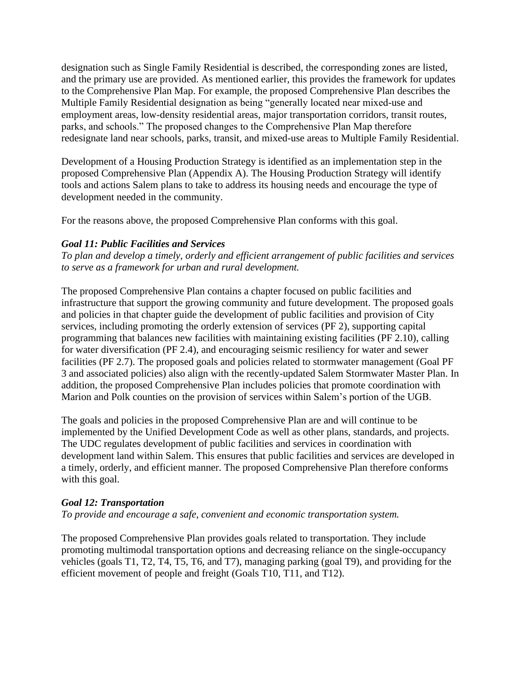designation such as Single Family Residential is described, the corresponding zones are listed, and the primary use are provided. As mentioned earlier, this provides the framework for updates to the Comprehensive Plan Map. For example, the proposed Comprehensive Plan describes the Multiple Family Residential designation as being "generally located near mixed-use and employment areas, low-density residential areas, major transportation corridors, transit routes, parks, and schools." The proposed changes to the Comprehensive Plan Map therefore redesignate land near schools, parks, transit, and mixed-use areas to Multiple Family Residential.

Development of a Housing Production Strategy is identified as an implementation step in the proposed Comprehensive Plan (Appendix A). The Housing Production Strategy will identify tools and actions Salem plans to take to address its housing needs and encourage the type of development needed in the community.

For the reasons above, the proposed Comprehensive Plan conforms with this goal.

## *Goal 11: Public Facilities and Services*

*To plan and develop a timely, orderly and efficient arrangement of public facilities and services to serve as a framework for urban and rural development.*

The proposed Comprehensive Plan contains a chapter focused on public facilities and infrastructure that support the growing community and future development. The proposed goals and policies in that chapter guide the development of public facilities and provision of City services, including promoting the orderly extension of services (PF 2), supporting capital programming that balances new facilities with maintaining existing facilities (PF 2.10), calling for water diversification (PF 2.4), and encouraging seismic resiliency for water and sewer facilities (PF 2.7). The proposed goals and policies related to stormwater management (Goal PF 3 and associated policies) also align with the recently-updated Salem Stormwater Master Plan. In addition, the proposed Comprehensive Plan includes policies that promote coordination with Marion and Polk counties on the provision of services within Salem's portion of the UGB.

The goals and policies in the proposed Comprehensive Plan are and will continue to be implemented by the Unified Development Code as well as other plans, standards, and projects. The UDC regulates development of public facilities and services in coordination with development land within Salem. This ensures that public facilities and services are developed in a timely, orderly, and efficient manner. The proposed Comprehensive Plan therefore conforms with this goal.

# *Goal 12: Transportation*

*To provide and encourage a safe, convenient and economic transportation system.*

The proposed Comprehensive Plan provides goals related to transportation. They include promoting multimodal transportation options and decreasing reliance on the single-occupancy vehicles (goals T1, T2, T4, T5, T6, and T7), managing parking (goal T9), and providing for the efficient movement of people and freight (Goals T10, T11, and T12).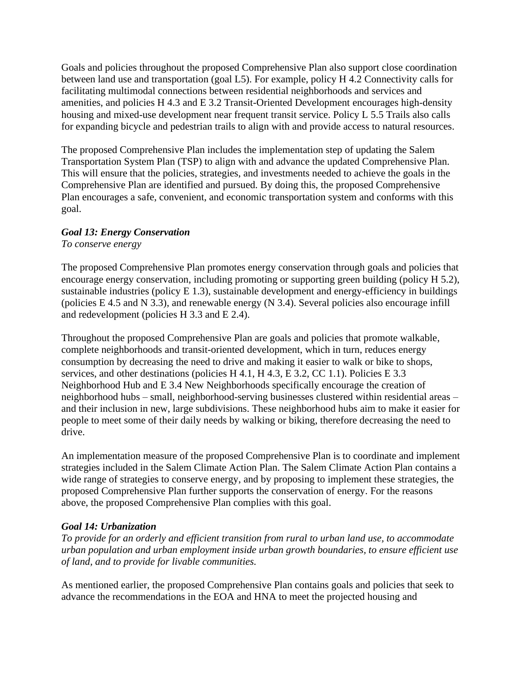Goals and policies throughout the proposed Comprehensive Plan also support close coordination between land use and transportation (goal L5). For example, policy H 4.2 Connectivity calls for facilitating multimodal connections between residential neighborhoods and services and amenities, and policies H 4.3 and E 3.2 Transit-Oriented Development encourages high-density housing and mixed-use development near frequent transit service. Policy L 5.5 Trails also calls for expanding bicycle and pedestrian trails to align with and provide access to natural resources.

The proposed Comprehensive Plan includes the implementation step of updating the Salem Transportation System Plan (TSP) to align with and advance the updated Comprehensive Plan. This will ensure that the policies, strategies, and investments needed to achieve the goals in the Comprehensive Plan are identified and pursued. By doing this, the proposed Comprehensive Plan encourages a safe, convenient, and economic transportation system and conforms with this goal.

# *Goal 13: Energy Conservation*

*To conserve energy*

The proposed Comprehensive Plan promotes energy conservation through goals and policies that encourage energy conservation, including promoting or supporting green building (policy H 5.2), sustainable industries (policy E 1.3), sustainable development and energy-efficiency in buildings (policies E 4.5 and N 3.3), and renewable energy (N 3.4). Several policies also encourage infill and redevelopment (policies H 3.3 and E 2.4).

Throughout the proposed Comprehensive Plan are goals and policies that promote walkable, complete neighborhoods and transit-oriented development, which in turn, reduces energy consumption by decreasing the need to drive and making it easier to walk or bike to shops, services, and other destinations (policies H 4.1, H 4.3, E 3.2, CC 1.1). Policies E 3.3 Neighborhood Hub and E 3.4 New Neighborhoods specifically encourage the creation of neighborhood hubs – small, neighborhood-serving businesses clustered within residential areas – and their inclusion in new, large subdivisions. These neighborhood hubs aim to make it easier for people to meet some of their daily needs by walking or biking, therefore decreasing the need to drive.

An implementation measure of the proposed Comprehensive Plan is to coordinate and implement strategies included in the Salem Climate Action Plan. The Salem Climate Action Plan contains a wide range of strategies to conserve energy, and by proposing to implement these strategies, the proposed Comprehensive Plan further supports the conservation of energy. For the reasons above, the proposed Comprehensive Plan complies with this goal.

# *Goal 14: Urbanization*

*To provide for an orderly and efficient transition from rural to urban land use, to accommodate urban population and urban employment inside urban growth boundaries, to ensure efficient use of land, and to provide for livable communities.*

As mentioned earlier, the proposed Comprehensive Plan contains goals and policies that seek to advance the recommendations in the EOA and HNA to meet the projected housing and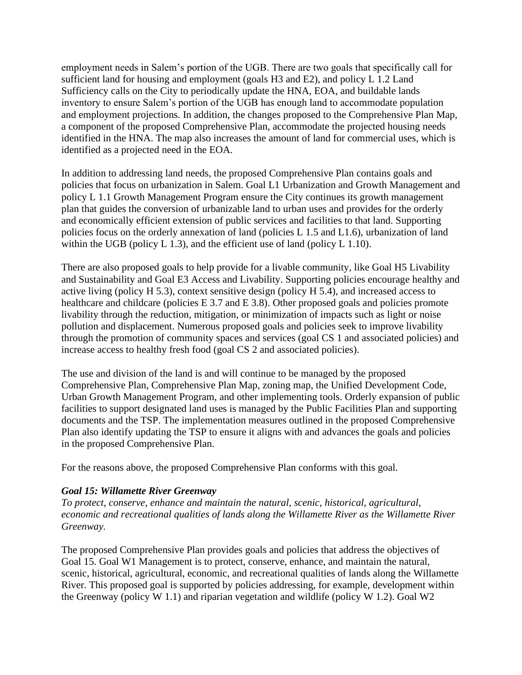employment needs in Salem's portion of the UGB. There are two goals that specifically call for sufficient land for housing and employment (goals H3 and E2), and policy L 1.2 Land Sufficiency calls on the City to periodically update the HNA, EOA, and buildable lands inventory to ensure Salem's portion of the UGB has enough land to accommodate population and employment projections. In addition, the changes proposed to the Comprehensive Plan Map, a component of the proposed Comprehensive Plan, accommodate the projected housing needs identified in the HNA. The map also increases the amount of land for commercial uses, which is identified as a projected need in the EOA.

In addition to addressing land needs, the proposed Comprehensive Plan contains goals and policies that focus on urbanization in Salem. Goal L1 Urbanization and Growth Management and policy L 1.1 Growth Management Program ensure the City continues its growth management plan that guides the conversion of urbanizable land to urban uses and provides for the orderly and economically efficient extension of public services and facilities to that land. Supporting policies focus on the orderly annexation of land (policies L 1.5 and L1.6), urbanization of land within the UGB (policy  $L$  1.3), and the efficient use of land (policy  $L$  1.10).

There are also proposed goals to help provide for a livable community, like Goal H5 Livability and Sustainability and Goal E3 Access and Livability. Supporting policies encourage healthy and active living (policy H 5.3), context sensitive design (policy H 5.4), and increased access to healthcare and childcare (policies E 3.7 and E 3.8). Other proposed goals and policies promote livability through the reduction, mitigation, or minimization of impacts such as light or noise pollution and displacement. Numerous proposed goals and policies seek to improve livability through the promotion of community spaces and services (goal CS 1 and associated policies) and increase access to healthy fresh food (goal CS 2 and associated policies).

The use and division of the land is and will continue to be managed by the proposed Comprehensive Plan, Comprehensive Plan Map, zoning map, the Unified Development Code, Urban Growth Management Program, and other implementing tools. Orderly expansion of public facilities to support designated land uses is managed by the Public Facilities Plan and supporting documents and the TSP. The implementation measures outlined in the proposed Comprehensive Plan also identify updating the TSP to ensure it aligns with and advances the goals and policies in the proposed Comprehensive Plan.

For the reasons above, the proposed Comprehensive Plan conforms with this goal.

#### *Goal 15: Willamette River Greenway*

*To protect, conserve, enhance and maintain the natural, scenic, historical, agricultural, economic and recreational qualities of lands along the Willamette River as the Willamette River Greenway.*

The proposed Comprehensive Plan provides goals and policies that address the objectives of Goal 15. Goal W1 Management is to protect, conserve, enhance, and maintain the natural, scenic, historical, agricultural, economic, and recreational qualities of lands along the Willamette River. This proposed goal is supported by policies addressing, for example, development within the Greenway (policy W 1.1) and riparian vegetation and wildlife (policy W 1.2). Goal W2